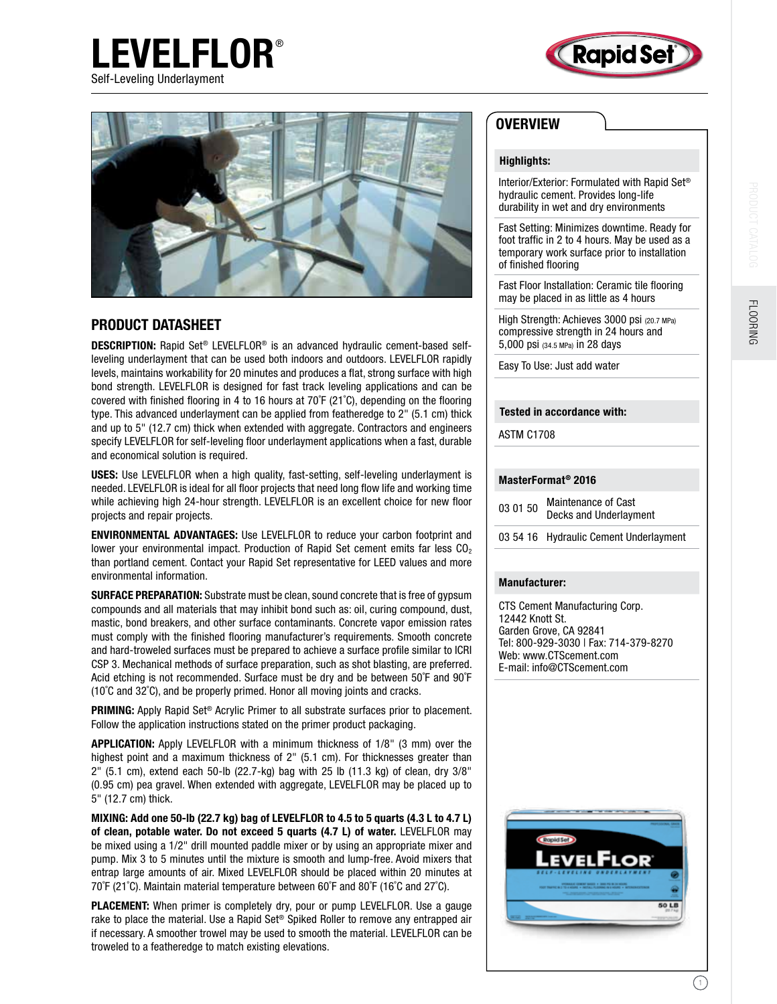



# PRODUCT DATASHEET

**LEVELFLOR®** 

DESCRIPTION: Rapid Set® LEVELFLOR® is an advanced hydraulic cement-based selfleveling underlayment that can be used both indoors and outdoors. LEVELFLOR rapidly levels, maintains workability for 20 minutes and produces a flat, strong surface with high bond strength. LEVELFLOR is designed for fast track leveling applications and can be covered with finished flooring in 4 to 16 hours at 70˚F (21˚C), depending on the flooring type. This advanced underlayment can be applied from featheredge to 2" (5.1 cm) thick and up to 5" (12.7 cm) thick when extended with aggregate. Contractors and engineers specify LEVELFLOR for self-leveling floor underlayment applications when a fast, durable and economical solution is required.

USES: Use LEVELFLOR when a high quality, fast-setting, self-leveling underlayment is needed. LEVELFLOR is ideal for all floor projects that need long flow life and working time while achieving high 24-hour strength. LEVELFLOR is an excellent choice for new floor projects and repair projects.

ENVIRONMENTAL ADVANTAGES: Use LEVELFLOR to reduce your carbon footprint and lower your environmental impact. Production of Rapid Set cement emits far less  $CO<sub>2</sub>$ than portland cement. Contact your Rapid Set representative for LEED values and more environmental information.

SURFACE PREPARATION: Substrate must be clean, sound concrete that is free of gypsum compounds and all materials that may inhibit bond such as: oil, curing compound, dust, mastic, bond breakers, and other surface contaminants. Concrete vapor emission rates must comply with the finished flooring manufacturer's requirements. Smooth concrete and hard-troweled surfaces must be prepared to achieve a surface profile similar to ICRI CSP 3. Mechanical methods of surface preparation, such as shot blasting, are preferred. Acid etching is not recommended. Surface must be dry and be between 50˚F and 90˚F (10˚C and 32˚C), and be properly primed. Honor all moving joints and cracks.

**PRIMING:** Apply Rapid Set<sup>®</sup> Acrylic Primer to all substrate surfaces prior to placement. Follow the application instructions stated on the primer product packaging.

APPLICATION: Apply LEVELFLOR with a minimum thickness of 1/8" (3 mm) over the highest point and a maximum thickness of 2" (5.1 cm). For thicknesses greater than 2" (5.1 cm), extend each 50-lb (22.7-kg) bag with 25 lb (11.3 kg) of clean, dry 3/8" (0.95 cm) pea gravel. When extended with aggregate, LEVELFLOR may be placed up to 5" (12.7 cm) thick.

MIXING: Add one 50-lb (22.7 kg) bag of LEVELFLOR to 4.5 to 5 quarts (4.3 L to 4.7 L) of clean, potable water. Do not exceed 5 quarts (4.7 L) of water. LEVELFLOR may be mixed using a 1/2" drill mounted paddle mixer or by using an appropriate mixer and pump. Mix 3 to 5 minutes until the mixture is smooth and lump-free. Avoid mixers that entrap large amounts of air. Mixed LEVELFLOR should be placed within 20 minutes at 70˚F (21˚C). Maintain material temperature between 60˚F and 80˚F (16˚C and 27˚C).

PLACEMENT: When primer is completely dry, pour or pump LEVELFLOR. Use a gauge rake to place the material. Use a Rapid Set® Spiked Roller to remove any entrapped air if necessary. A smoother trowel may be used to smooth the material. LEVELFLOR can be troweled to a featheredge to match existing elevations.

# **OVERVIEW**

## Highlights:

Interior/Exterior: Formulated with Rapid Set® hydraulic cement. Provides long-life durability in wet and dry environments

Fast Setting: Minimizes downtime. Ready for foot traffic in 2 to 4 hours. May be used as a temporary work surface prior to installation of finished flooring

Fast Floor Installation: Ceramic tile flooring may be placed in as little as 4 hours

High Strength: Achieves 3000 psi (20.7 MPa) compressive strength in 24 hours and 5,000 psi (34.5 MPa) in 28 days

Easy To Use: Just add water

### Tested in accordance with:

ASTM C1708

## MasterFormat® 2016

03 01 50 Maintenance of Cast Decks and Underlayment

03 54 16 Hydraulic Cement Underlayment

#### Manufacturer:

CTS Cement Manufacturing Corp. 12442 Knott St. Garden Grove, CA 92841 Tel: 800-929-3030 | Fax: 714-379-8270 Web: www.CTScement.com E-mail: info@CTScement.com